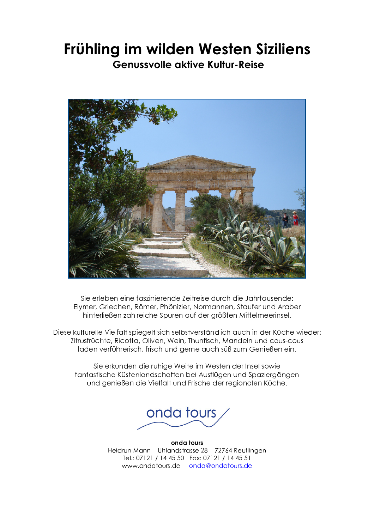# Frühling im wilden Westen Siziliens

**Genussvolle aktive Kultur-Reise** 



Sie erleben eine faszinierende Zeitreise durch die Jahrtausende: Elymer, Griechen, Römer, Phönizier, Normannen, Staufer und Araber hinterließen zahlreiche Spuren auf der größten Mittelmeerinsel.

Diese kulturelle Vielfalt spiegelt sich selbstverständlich auch in der Küche wieder: Zitrusfrüchte, Ricotta, Oliven, Wein, Thunfisch, Mandeln und cous-cous laden verführerisch, frisch und gerne auch süß zum Genießen ein.

Sie erkunden die ruhige Weite im Westen der Insel sowie fantastische Küstenlandschaften bei Ausflügen und Spaziergängen und genießen die Vielfalt und Frische der regionalen Küche.



onda tours Heidrun Mann Uhlandstrasse 28 72764 Reutlingen Tel.: 07121 / 14 45 50 Fax: 07121 / 14 45 51 www.ondatours.de onda@ondatours.de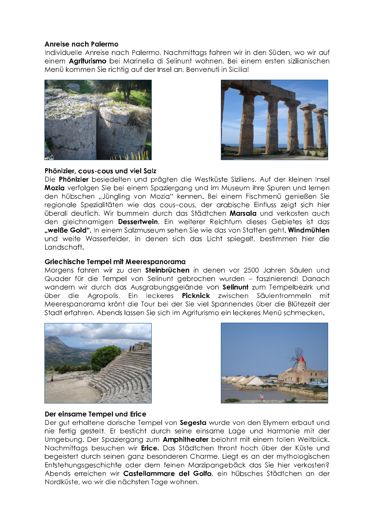## Anreise nach Palermo

Individuelle Anreise nach Palermo, Nachmittaas fahren wir in den Süden, wo wir auf einem Agriturismo bei Marinella di Selinunt wohnen. Bei einem ersten sizilianischen Menü kommen Sie richtig auf der Insel an. Benvenuti in Sicilia!





# Phönizier, cous-cous und viel Salz

Die Phönizier besiedelten und prägten die Westküste Siziliens. Auf der kleinen Insel Mozia verfolgen Sie bei einem Spaziergang und im Museum ihre Spuren und lernen den hübschen "Jüngling von Mozia" kennen. Bei einem Fischmenü genießen Sie regionale Spezialitäten wie das cous-cous, der arabische Einfluss zeigt sich hier überall deutlich. Wir bummeln durch das Städtchen Marsala und verkosten auch den gleichnamigen Dessertwein. Ein weiterer Reichtum dieses Gebietes ist das "weiße Gold". In einem Salzmuseum sehen Sie wie das von Statten geht. Windmühlen und weite Wasserfelder, in denen sich das Licht spiegelt, bestimmen hier die Landschaft.

# Griechische Tempel mit Meerespanorama

Morgens fahren wir zu den Steinbrüchen in denen vor 2500 Jahren Säulen und Quader für die Tempel von Selinunt gebrochen wurden - faszinierend! Danach wandern wir durch das Ausgrabungsgelände von Selinunt zum Tempelbezirk und die Agropolis. Ein leckeres **Picknick** zwischen Säulentrommeln über mit Meerespanorama krönt die Tour bei der Sie viel Spannendes über die Blütezeit der Stadt erfahren. Abends lassen Sie sich im Agriturismo ein leckeres Menü schmecken.





# Der einsame Tempel und Erice

Der gut erhaltene dorische Tempel von Segesta wurde von den Elymern erbaut und nie fertig gestellt. Er besticht durch seine einsame Lage und Harmonie mit der Umgebung. Der Spaziergang zum Amphitheater belohnt mit einem tollen Weitblick. Nachmittaas besuchen wir **Erice**. Das Städtchen thront hoch über der Küste und begeistert durch seinen ganz besonderen Charme. Liegt es an der mythologischen Entstehungsgeschichte oder dem feinen Marzipangebäck das Sie hier verkosten? Abends erreichen wir Castellammare del Golfo, ein hübsches Städtchen an der Nordküste, wo wir die nächsten Tage wohnen.